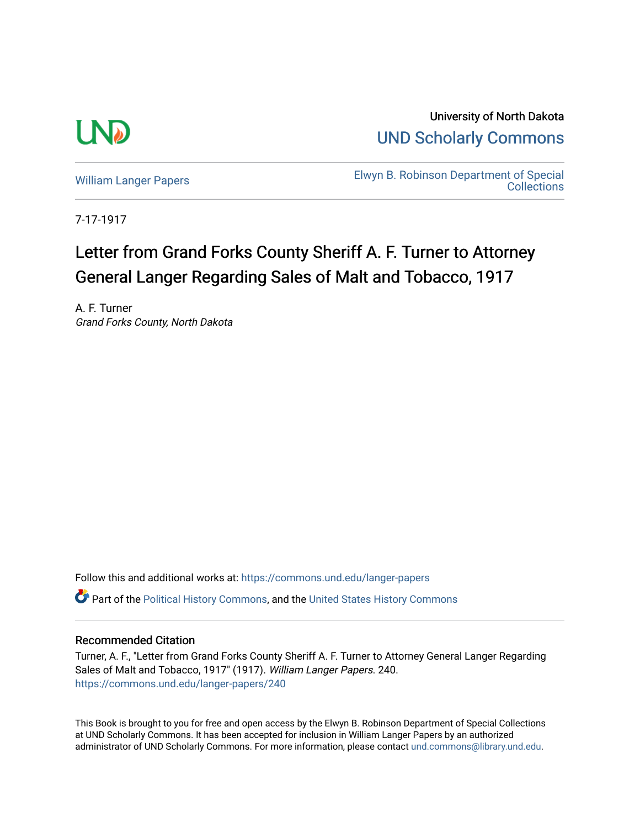

University of North Dakota [UND Scholarly Commons](https://commons.und.edu/) 

[William Langer Papers](https://commons.und.edu/langer-papers) **Elwyn B. Robinson Department of Special** [Collections](https://commons.und.edu/archives) 

7-17-1917

## Letter from Grand Forks County Sheriff A. F. Turner to Attorney General Langer Regarding Sales of Malt and Tobacco, 1917

A. F. Turner Grand Forks County, North Dakota

Follow this and additional works at: [https://commons.und.edu/langer-papers](https://commons.und.edu/langer-papers?utm_source=commons.und.edu%2Flanger-papers%2F240&utm_medium=PDF&utm_campaign=PDFCoverPages)  **C** Part of the [Political History Commons,](http://network.bepress.com/hgg/discipline/505?utm_source=commons.und.edu%2Flanger-papers%2F240&utm_medium=PDF&utm_campaign=PDFCoverPages) and the [United States History Commons](http://network.bepress.com/hgg/discipline/495?utm_source=commons.und.edu%2Flanger-papers%2F240&utm_medium=PDF&utm_campaign=PDFCoverPages)

## Recommended Citation

Turner, A. F., "Letter from Grand Forks County Sheriff A. F. Turner to Attorney General Langer Regarding Sales of Malt and Tobacco, 1917" (1917). William Langer Papers. 240. [https://commons.und.edu/langer-papers/240](https://commons.und.edu/langer-papers/240?utm_source=commons.und.edu%2Flanger-papers%2F240&utm_medium=PDF&utm_campaign=PDFCoverPages) 

This Book is brought to you for free and open access by the Elwyn B. Robinson Department of Special Collections at UND Scholarly Commons. It has been accepted for inclusion in William Langer Papers by an authorized administrator of UND Scholarly Commons. For more information, please contact [und.commons@library.und.edu.](mailto:und.commons@library.und.edu)